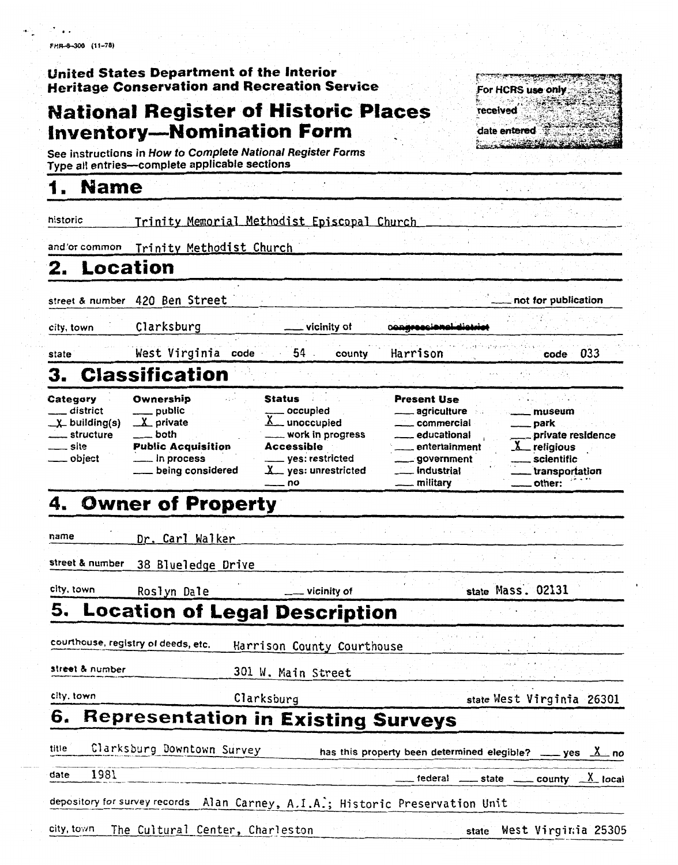FHR-8-300 (11-78)

## United States Department of the Interior **Heritage Conservation and Recreation Service**

## **National Register of Historic Places Inventory-Nomination Form**

See instructions in How to Complete National Register Forms Type all entries--complete applicable sections

#### 1. **Name**

historic Trinity Memorial Methodist Episcopal Church

and/or common Trinity Methodist Church

#### Location 2.

city, town

state

street & number 420 Ben Street

Clarksburg

West Virginia code

vicinity of

county

federal

\_ state

Harrison

033 code

not for publication

## 3. **Classification**

| Category               | Ownership                 | <b>Status</b>                    | <b>Present Use</b> |                             |
|------------------------|---------------------------|----------------------------------|--------------------|-----------------------------|
| district               | _____ public              | occupied                         | ____ agriculture   | museum                      |
| $\chi$ building(s)     | $\mathbf{X}$ private      | $\underline{\Lambda}$ unoccupied | ____ commercial    | $\rule{1em}{0.15mm}$ park   |
| <u>__</u> __ structure | . both                    | ____ work in progress            | educational        | private residence           |
| ____ site              | <b>Public Acquisition</b> | <b>Accessible</b>                | entertainment      | $\lambda$ religious         |
| . obiect               | $\frac{1}{2}$ in process  | yes: restricted                  | government         | scientific                  |
|                        | being considered          | $x$ yes: unrestricted            | . industrial       | transportation              |
|                        |                           | nn                               | military           | $2.00 \div 0.004$<br>other. |

54

### **Owner of Property** 4.

name Dr. Carl Walker

street & number 38 Blueledge Drive

city, town Roslyn Dale

vicinity of

state Mass. 02131

### 5. **Location of Legal Description**

courthouse, registry of deeds, etc. Harrison County Courthouse

street & number

301 W. Main Street

city, town

6.

Clarksburg

state West Virginia 26301

county

 $X$  local

# **Representation in Existing Surveys**

title Clarksburg Downtown Survey has this property been determined elegible? yes  $\Delta$  no

1981 date

depository for survey records Alan Carney, A.I.A.; Historic Preservation Unit

city, town The Cultural Center, Charleston West Virginia 25305 state

For HCRS use only received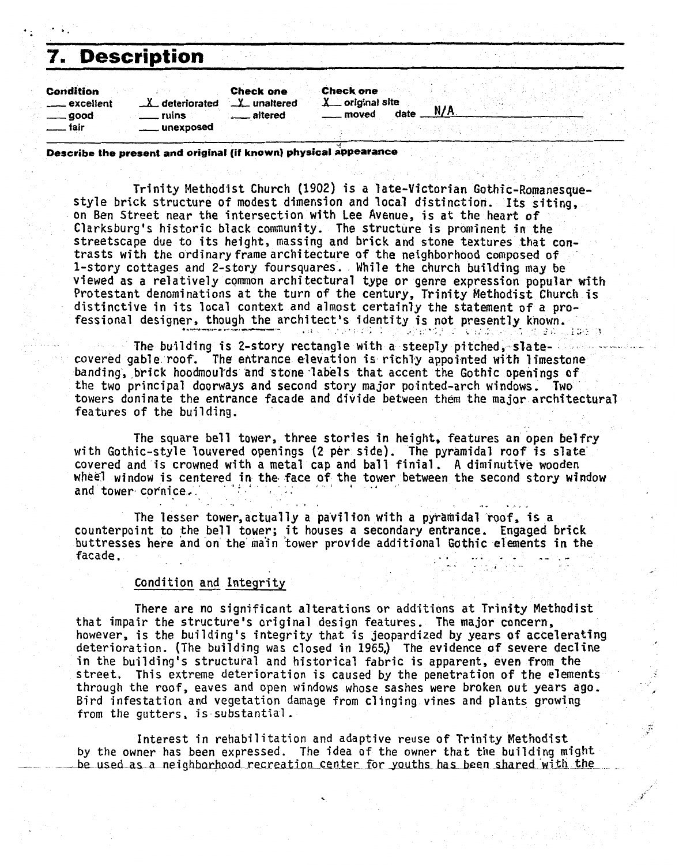| <b>7. Description</b>                                                                   |                                              |                                             |                                              |      |     |  |
|-----------------------------------------------------------------------------------------|----------------------------------------------|---------------------------------------------|----------------------------------------------|------|-----|--|
| <b>Condition</b><br><u>__</u> excellent<br><sub>__</sub> __ good<br><sub>___</sub> fair | $\lambda$ deteriorated<br>ruins<br>unexposed | <b>Check one</b><br>X_ unaltered<br>altered | <b>Check one</b><br>X original site<br>moved | date | N/A |  |

**Describe the present and original (if known) physical appearance** 

Trinity Methodist Church (1902) is a late-Victorian Gothic-Romanesquestyle brick structure of modest dimension and local distinction. Its siting, on Ben Street near the intersection with Lee Avenue, is at the heart of Clarksburg's historic black community. The structure is prominent in the streetscape due to its height, massing and brick and stone textures that contrasts with the ordinary frame architecture of the neighborhood composed of 1-story cottages and 2-story foursquares. While the church building may be viewed as a relatively common architectural type or genre expression popular with Protestant denominations at the turn of the century, Trinity Methodist Church is distinctive in its local context and almost certainly the statement of a professional designer, though the architect's identity is not presently known.<br> *.... ... ....**<b>... <i>.... .... ..... ..... ..... .... .... .... .... .... .... ....*

The building is 2-story rectangle with a steeply pitched, slatecovered gable roof. The entrance elevation is richl'y appointed with limestone banding, brick hoadmoul'ds and stone -labels that accent the Gothic openings **of**  the two principal doorways and second story major pointed-arch windows, Two towers doninate the entrance facade and divide between them the major architectural features of the building.

The square bell tower, three stories in height, features an **open** belfry with Gothic-style louvered openings (2 per side). The pyramidal roof is sTate covered and is crowned with a metal cap and ball finial. A diminutive wooden wheel window is centered in the face of the tower between the second story window and tower cornice. .. . .,. .,.,

The lesser tower, actual ly a pa'vil ion with a pyramidal 'roof, **is** a counterpoint to the bell tower; it houses a secondary entrance. **Engaged** brick buttresses here and on the main tower provide additional Gothic elements in the facade. int to the bell tower; i<br>i here and on the main to<br>Condition and Integrity

There are no significant alterations or additions at Trinity Methodist that impair the structure's original design features. The major concern, however, is the building's integrity that is jeopardized by years **of** accelerating deterioration. (The building was closed in 1965,) The evidence of severe decline in the building's structural and historical fabric is apparent, even from **the**  street. This extreme deterioration is caused **by** the penetration of the elements through the roof, eaves and open windows whose sashes were broken out years ago. Bird infestation and vegetation damage from clinging vines and plants growing from the gutters, is substantial.

Interest in rehabilitation and adaptive reuse of Trinity Methodist by the owner has been expressed. The idea **of** the owner that the-building night be used as a neighborhood recreation center for youths has been shared with the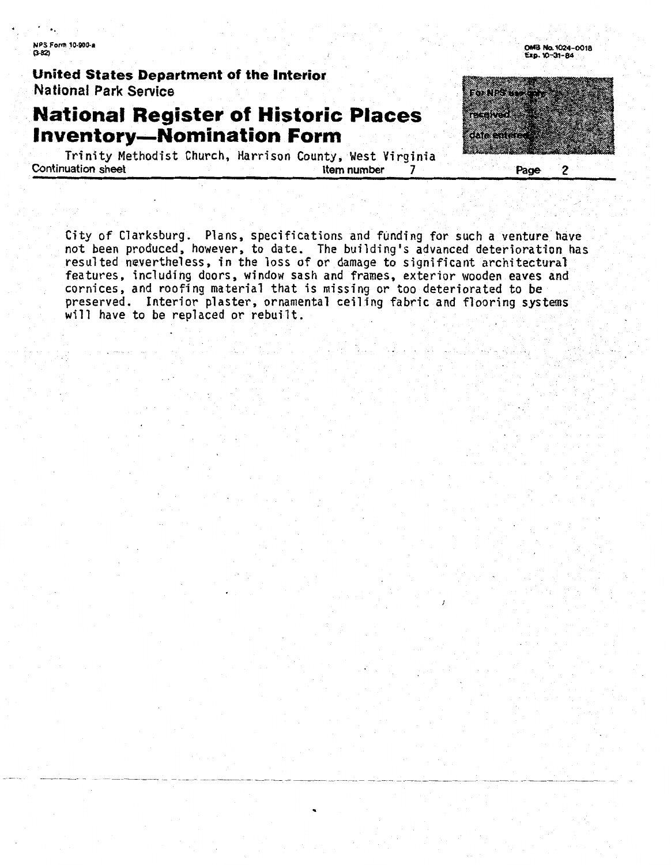**NPS Form 10-900-a**  0-m **OM8 m4-0018** 

**United States Department of the Interior Na tionaf Park Service** 

## **National Register of Historic Places Inventory-Nomination Form**

Trinity Methodist Church, Harrison County, West Virginia **Continuation Sheet Indiana Indiana Indiana Indiana Indiana Indiana Indiana Indiana Indiana Indiana Indiana Indiana Indiana Indiana Indiana Indiana Indiana Indiana Indiana Indiana Indiana Indiana Indiana Indiana Indiana In** 

City of Clarksburg. Plans, specifications and funding for such a venture have ty of Clarksburg. Plans, specifications and funding for such a venture have.<br>It been produced, however, to date...The building's advanced deterioration has a not been produced, however, to date. The building's advanced deterioration has resulted nevertheless, in the loss of or damage to significant architectural features, including doors, window sash and frames, exterior wooden eaves and cornices, and roofing material that is missing or too deteriorated to be preserved. Interior plaster, ornamental ceiling fabric and flooring systems will have to be replaced or rebuilt.



**OMB No. 1024-0018**<br>Exp. 10-31-84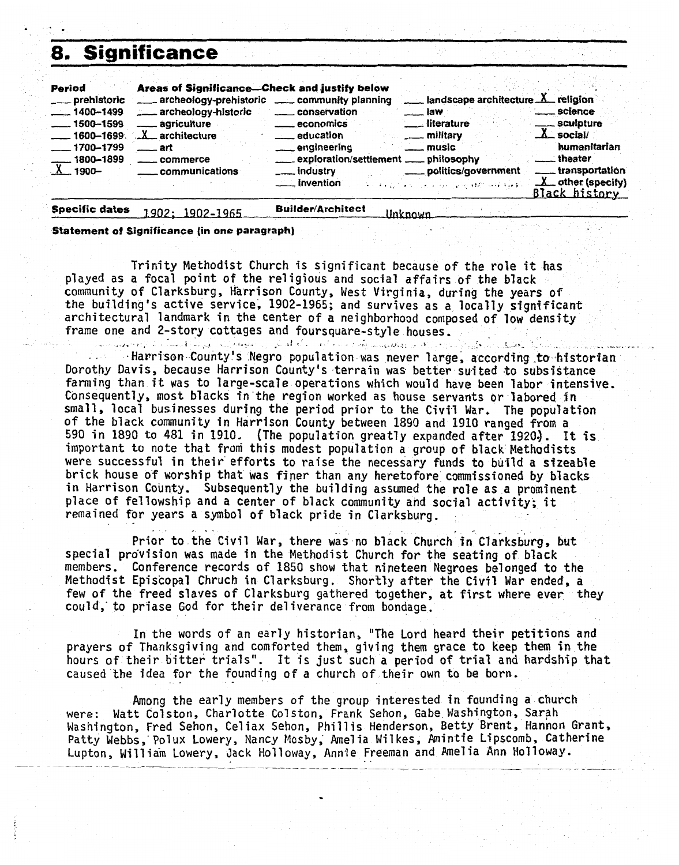## **8. Significance**

| 8.                                                                                                                               | <b>Significance</b>                                                                                                                             |                                                                                                                                                                                                                                                                                                                                                                                                                                                                                                                                                                                                             |
|----------------------------------------------------------------------------------------------------------------------------------|-------------------------------------------------------------------------------------------------------------------------------------------------|-------------------------------------------------------------------------------------------------------------------------------------------------------------------------------------------------------------------------------------------------------------------------------------------------------------------------------------------------------------------------------------------------------------------------------------------------------------------------------------------------------------------------------------------------------------------------------------------------------------|
| Period<br>___ prehistoric<br>$-1400 - 1499$<br>$-1500 - 1599$<br>$-1600 - 1699$<br>$-1700 - 1799$<br>$-1800 - 1899$<br>$X$ 1900- | Areas of Significance-Check and justify below<br>archeology-historic<br>agriculture<br>X architecture<br>—— art<br>. commerce<br>communications | $\equiv$ landscape architecture $X$ religion<br>archeology-prehistoric __ community planning<br>. science<br>_____ conservation<br>—— law<br>sculpture<br><sub>___</sub> literature<br><u>__</u> __ economics<br>$X$ social/<br>___ military<br><u>_</u> ____ education<br>humanitarian<br>engineering<br><u>_</u> __ music<br><u>__</u> __theater<br>exploration/settlement __ philosophy<br>____transportation<br>____ politics/government<br><u>_</u> ___ industry<br>$\chi$ other (specify)<br>____ invention<br>المتوافقة وكمنا الاروق مرابل الموجاء الحارب الرابي والانتقالات<br><b>Black history</b> |
| <b>Specific dates</b>                                                                                                            | <u> 1902: 1902–1965</u>                                                                                                                         | <b>Builder/Architect</b><br><b>Unknown</b>                                                                                                                                                                                                                                                                                                                                                                                                                                                                                                                                                                  |

**Statement of Significance (in one paragraph)** 

Trinity Methodist Church is significant because of the role it **has**  played as a focal point of the religious and social affairs **of** the black community of Clarksburg, Harrison County, West Virginia, during the years of the building's active service, 1902-1965; and survives as a locally significant architectural landmark in the center of a neighborhood composed of low density frame one and 2-story cottages and foursquare-style houses.<br>
Harrison County's Negro population was never large, according to historian

Dorothy Davis, because Harrison County's terrain was better suited to subsistance farming than it was to large-scale operations which would have been labor intensive. Consequently, most blacks in the region worked as house servants or labored in small, local businesses during the period prior to the Civil War. The population of the black community in Harrison County between 1890 and 1910 ranged from a 590 in 1890 to 481 **in** 1910. (The population greatly expanded after **1920).** It 5s important to note that from this modest population a group of black Methodists were successful in their efforts to raise the necessary funds to build a sizeable brick house of worship that was finer than any heretofore comissioned **by** blacks in Harrison County. Subsequently the building assumed the role as a prominent<br>place of fellowship and a center of black community and social activity; it remained for years a symbol of black pride in Clarksburg.

Prior to the Civil War, there was no black Church in Clarksburg, but special provision was made in the Methodist Church for the seating of black members. Conference records of 1850 show that nineteen Negroes belonged to the Methodist Episcopal Chruch in Clarksburg. Shortly after the **Civil** War ended, a few of the freed slaves of Clarksburg gathered together, at first where ever they could,' to priase God for their del iverance from bondage.

In the words of an early historian, "The Lord heard thetr petitions and prayers of Thanksgiving and comforted them, giving them grace to keep them in the hours of their bitter trials". It is just such a period of trial and hardship that caused the idea for the founding of a church of their own to be born.

Among the early members of the group interested in founding a church were: Watt Colston, Charlotte Colston, Frank Sehon, Gabe Washington, Sarah Washington, Fred Sehon, Celiax Sehon, Phillis Henderson, Betty Brent, Hannon Grant, **Patty** Webbs,' Polux Lowery, Nancy Mosby; Amel ia Mil kes, Amintie Lipscomb, Catherine Lupton, William Lowery, Jack Holloway, Annie Freeman and Amelia Ann Holloway.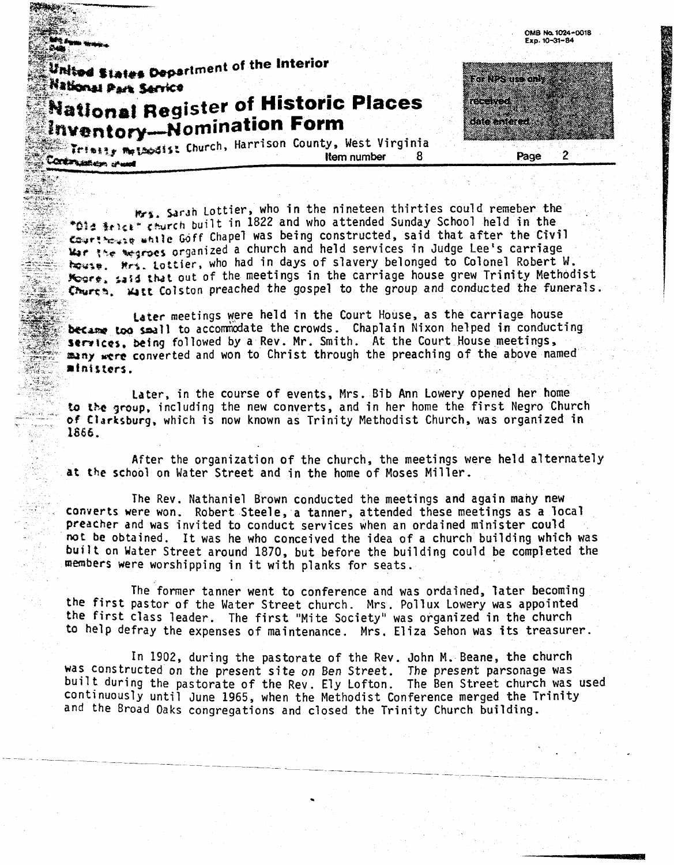United States Department of the Interior **National Park Service** 

**I I \*r**  \* " *3.*   $\widehat{T}_{\text{t}}$ 

# **National Register of Historic Places** Inventory-Nomination Form

Trimity methodist Church, Harrison County, West Virginia **Item number** 8 Continuation sheet

**Route College** a man an an a 

OMB No. 1024-0018

Exp. 10-31-84

 $\overline{2}$ Page

 $w_{24}$ , Sarah Lottier, who in the nineteen thirties could remeber the \*014 \$rick<sup>\*</sup> Church built in 1822 and who attended Sunday School held in the Courtineuse while Goff Chapel was being constructed, said that after the Civil<br>War the wegroes organized a church and held services in Judge Lee's carriage house. Hrs. Lottier, who had in days of slavery belonged to Colonel Robert W.<br>Koore, said that out of the meetings in the carriage house grew Trinity Methodist<br>Churth, Watt Colston preached the gospel to the group and cond

Later meetings were held in the Court House, as the carriage house **became too small to accommodate the crowds.** Chaplain Nixon helped in conducting<br>**Services, being followed by a Rev. Mr. Smith.** At the Court House meetings, many were converted and won to Christ through the preaching of the above named all alors. - **atnittors. <sup>I</sup>***<sup>r</sup>*

Later, in the course of events, Mrs. Bib Ann Lowery opened her home to the group, including the new converts, and in her home the first Negro Church **Ciartsburg,** which **is** now known as Trinity Methodist Church, was organized in 1866.

After the organization of the church, the meetings were held alternately **at the school** on Water Street and in the home of Moses Miller.

The Rev. Nathaniel Brown conducted the meetings and again mahy new .. **converts** were won. Robert Steele, a tanner, attended these meetings as a local **preacher** and was invited to conduct services when an ordained minister could be obtained. It was he who conceived the idea of a church building which was **bui? t** on Water Street around 1870, but before the building could **be** completed the **members** were worshipping in it with planks for seats.

The former tanner went to conference and was ordained, later becoming **the** first pastor of the Water Street church. Mrs. Pollux Lowery was appointed **the** first class leader. The first "Mite Society" was organized in the church to help defray the expenses of maintenance. Mrs. Eliza Sehon was its treasurer.

In 1902, during the pastorate of the Rev. John M. Beane, the church was constructed on the present site on Ben Street. The present parsonage Was built during the pastorate of the Rev. Ely Lofton. The Ben Street church was used continuously until June 1965, when the Methodist Conference merged the Trinity **and** the Broad Oaks congregations and closed the Trinity Church building.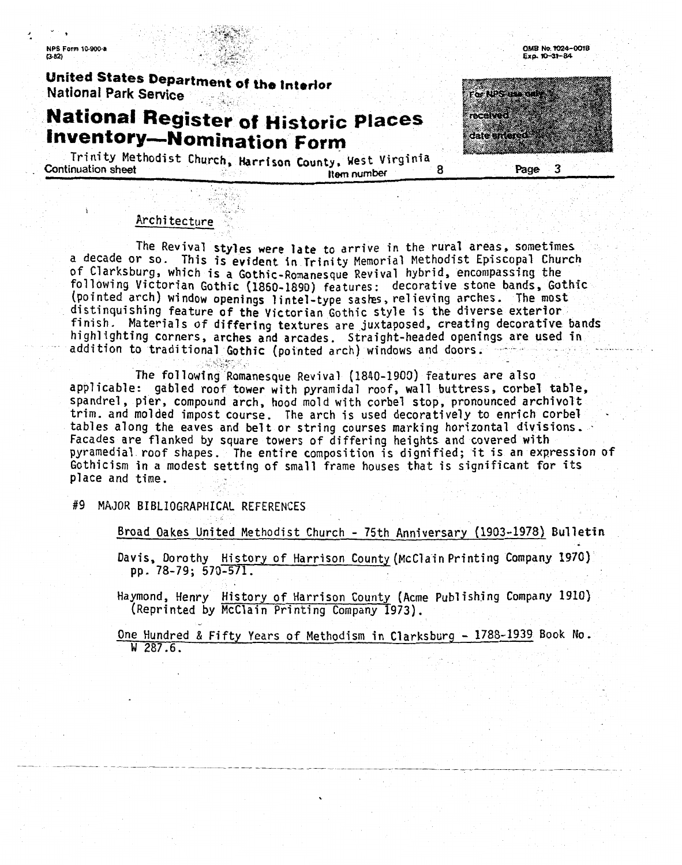#### **NPS Form 10-900-a**  $R32$

## United States Department of the Interior National Park Service

# **National Register of Historic Places Inventory-Nomination Form**

Trinity Methodist Church, Harrison County, West Virginia Continuation sheet я **Item number** 

# For NPS IN received date intered 3

OMB No. 1024-0018

Exp. 10-31-84

Page

## Architecture

The Revival styles **were late** to arrive in the rural areas, sometimes **<sup>a</sup>**decade Or SO. This is **evident in** Trinity Memorial Methodist Episcopal Church of Clarksburg, which is **a** Gothfc-Romanesgue Revival hybrid, encompassing the following Victorian Gothic **(1860-1890)** features: decorative stone bands. Gothic (pointed arch) wi ndow openings **1 i** ntel-type sasks , re1 ieving arches. The most (pointed arch) window openings lintel-type sashes, relieving arches. The most<br>distinquishing feature of the Victorian Gothic style is the diverse exterior finish. Materials of differing textures are juxtaposed, creating decorative bands highlighting corners, arches and arcades. Straight-headed openings are used in addition to traditional Gothic (pointed arch) windows and doors.

The following Romanesque Revival (1840-1900) features are also applicable: gabled roof tower with pyramidal roof, wall buttress, corbel table, spandrel, pier, compound arch, hood mold with corbel stop, pronounced archivolt trim. and molded impost course. The arch is used decoratively to enrich corbel .<br>tables along the eaves and belt or string courses marking horizontal divisions. Facades are flanked by square towers of differing heights and covered **with**  pyramedial roof shapes. The entire composition is dignified; it is an expression of Gothicism in a modest setting of small frame houses that is significant *for* fts place and time.

**#9** MAJOR BIBLIOGRAPHICAL REFERENCES

Broad Oakes United Methodist Church - 75th Anniversary (1903-1978) Bulletin

Davis, Dorothy History of Harrison County (McClain Printing Company **1970)**  pp. 78-79; 570-571.

Haymond, Henry History of Harrison County (Acme Publishing Company 1910) (Reprinted by McClain Printing Company 1973).

One Hundred & Fifty Years of Methodism in Clarksburg - 1788-1939 Book No. W 287.6.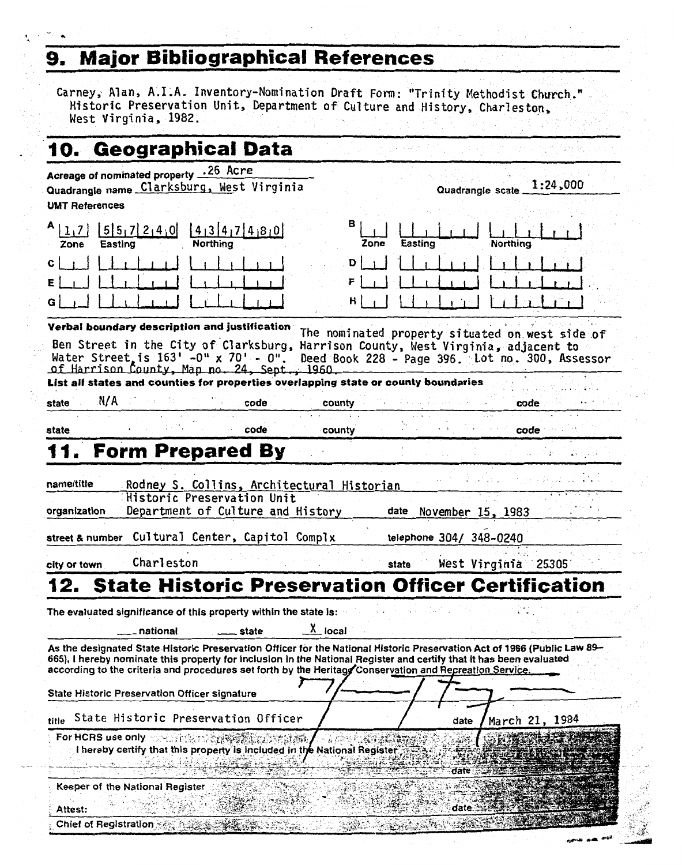## **9. Major Bibliographical References**

 $\ddot{\phantom{0}}$ 

 $\mathbf{L}$ 

Carney, Alan, A.I.A. Inventory-Nomination Draft Form: "Trinity Methodist **Church."**  Historic Preservation Unit, Department of Culture and History, Charles ton, West Virginia, 1982.

| 10. Geographical Data                                                                                                                                                                                                                                                                                                                                |                                                                                                                             |          |                                   |                                            |                 |                                              |                           |                                                                                                    |
|------------------------------------------------------------------------------------------------------------------------------------------------------------------------------------------------------------------------------------------------------------------------------------------------------------------------------------------------------|-----------------------------------------------------------------------------------------------------------------------------|----------|-----------------------------------|--------------------------------------------|-----------------|----------------------------------------------|---------------------------|----------------------------------------------------------------------------------------------------|
| Acreage of nominated property .26 Acre<br>Quadrangle name Clarksburg, West Virginia<br><b>UMT References</b>                                                                                                                                                                                                                                         |                                                                                                                             |          |                                   |                                            |                 |                                              | Quadrangle scale 1:24,000 |                                                                                                    |
| $A$   1 <sub>1</sub> 7 <br>Easting<br>Zone                                                                                                                                                                                                                                                                                                           | $[5]5,7]2,4,0$ $[4]3]4,7]4,8,0$                                                                                             | Northing |                                   | в                                          | Easting<br>Zone |                                              | Northing                  |                                                                                                    |
|                                                                                                                                                                                                                                                                                                                                                      |                                                                                                                             |          |                                   | D<br>F<br>н                                |                 |                                              |                           |                                                                                                    |
| Verbal boundary description and justification<br>Ben Street in the City of Clarksburg, Harrison County, West Virginia, adjacent to<br>Water Street, is $163' - 0'' \times 70' - 0''$ .<br>of Harrison County, Map no. 24, Sept., 1960.                                                                                                               |                                                                                                                             |          |                                   |                                            |                 |                                              |                           | The nominated property situated on west side of<br>Deed Book 228 - Page 396. Lot no. 300, Assessor |
| List all states and counties for properties overlapping state or county boundaries<br>N/A ·                                                                                                                                                                                                                                                          |                                                                                                                             |          |                                   |                                            |                 |                                              |                           |                                                                                                    |
| state                                                                                                                                                                                                                                                                                                                                                |                                                                                                                             |          | code                              | county                                     |                 |                                              | code                      |                                                                                                    |
| state                                                                                                                                                                                                                                                                                                                                                | <b>Form Prepared By</b>                                                                                                     |          | code                              | county                                     |                 |                                              | code                      |                                                                                                    |
| name/title<br>organization<br>street & number Cultural Center, Capitol Complx                                                                                                                                                                                                                                                                        | Historic Preservation Unit                                                                                                  |          | Department of Culture and History | Rodney S. Collins, Architectural Historian | date            | November 15, 1983<br>telephone 304/ 348-0240 |                           |                                                                                                    |
| city or town                                                                                                                                                                                                                                                                                                                                         | Charleston                                                                                                                  |          |                                   |                                            | state           |                                              | West Virginia 25305       |                                                                                                    |
| 12. State Historic Preservation Officer Certification                                                                                                                                                                                                                                                                                                |                                                                                                                             |          |                                   |                                            |                 |                                              |                           |                                                                                                    |
| The evaluated significance of this property within the state is: where the state of the state is:<br>As the designated State Historic Preservation Officer for the National Historic Preservation Act of 1966 (Public Law 89-<br>665), I hereby nominate this property for inclusion in the National Register and certify that it has been evaluated | national                                                                                                                    |          | state                             | $X_{-}$ local                              |                 |                                              |                           |                                                                                                    |
| according to the criteria and procedures set forth by the Heritagy Conservation and Recreation Service.<br><b>State Historic Preservation Officer signature</b>                                                                                                                                                                                      |                                                                                                                             |          |                                   |                                            |                 |                                              |                           |                                                                                                    |
| title                                                                                                                                                                                                                                                                                                                                                | State Historic Preservation Officer                                                                                         |          |                                   |                                            |                 | date                                         | March 21, 1984            |                                                                                                    |
|                                                                                                                                                                                                                                                                                                                                                      | For HCRS use only and a strategy was a strategy<br>I hereby certify that this property is included in the National Register |          |                                   |                                            |                 | date                                         |                           |                                                                                                    |
| Attest:                                                                                                                                                                                                                                                                                                                                              | Keeper of the National Register                                                                                             |          |                                   |                                            |                 | date                                         |                           |                                                                                                    |
|                                                                                                                                                                                                                                                                                                                                                      | Chief of Registration $\mathbb{R}$ , and                                                                                    |          |                                   |                                            |                 |                                              |                           |                                                                                                    |

فتعصد بهبير

 $\mathcal{P}(\mathcal{E})$ 

 $\mathcal{L}$